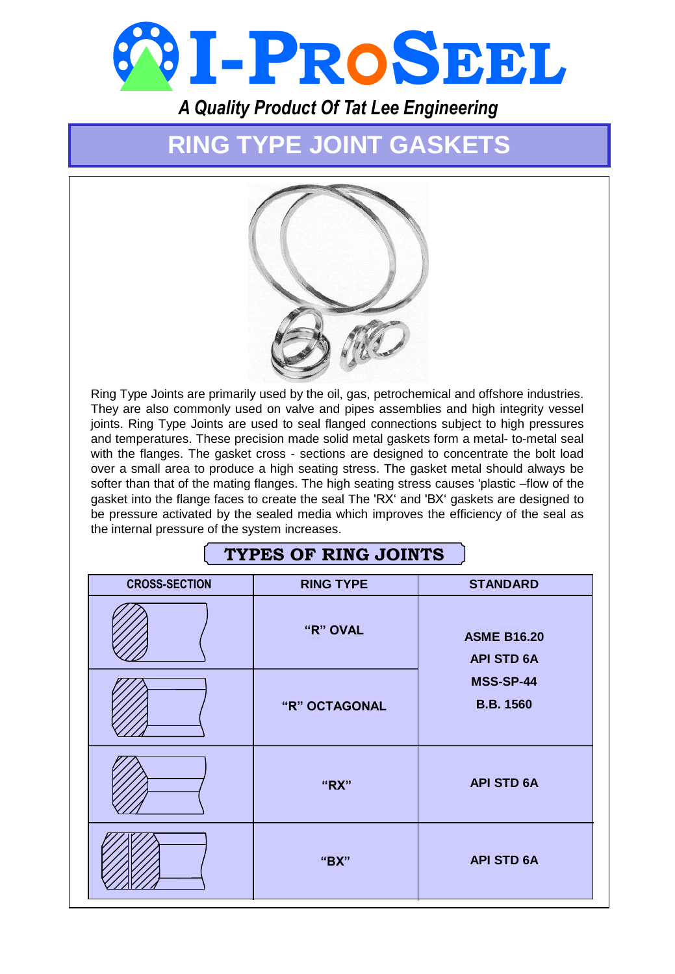

*A Quality Product Of Tat Lee Engineering*

# **RING TYPE JOINT GASKETS**



Ring Type Joints are primarily used by the oil, gas, petrochemical and offshore industries. They are also commonly used on valve and pipes assemblies and high integrity vessel joints. Ring Type Joints are used to seal flanged connections subject to high pressures and temperatures. These precision made solid metal gaskets form a metal- to-metal seal with the flanges. The gasket cross - sections are designed to concentrate the bolt load over a small area to produce a high seating stress. The gasket metal should always be softer than that of the mating flanges. The high seating stress causes 'plastic –flow of the gasket into the flange faces to create the seal The 'RX' and 'BX' gaskets are designed to be pressure activated by the sealed media which improves the efficiency of the seal as the internal pressure of the system increases.

## **TYPES OF RING JOINTS**

| <b>CROSS-SECTION</b> | <b>RING TYPE</b> | <b>STANDARD</b>                         |  |  |
|----------------------|------------------|-----------------------------------------|--|--|
|                      | "R" OVAL         | <b>ASME B16.20</b><br><b>API STD 6A</b> |  |  |
|                      |                  | <b>MSS-SP-44</b>                        |  |  |
|                      | "R" OCTAGONAL    | <b>B.B. 1560</b>                        |  |  |
|                      | "RX"             | <b>API STD 6A</b>                       |  |  |
|                      | "BX"             | <b>API STD 6A</b>                       |  |  |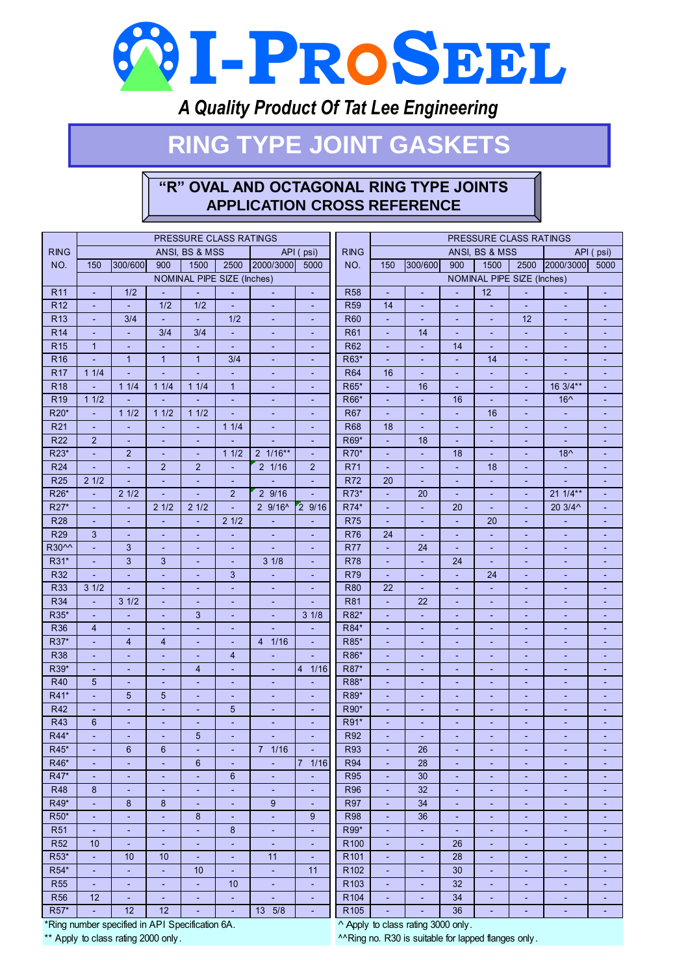

## *A Quality Product Of Tat Lee Engineering*

# **RING TYPE JOINT GASKETS**

## **"R" OVAL AND OCTAGONAL RING TYPE JOINTS APPLICATION CROSS REFERENCE**

|                          | PRESSURE CLASS RATINGS   |                |                                  |                                            |                          | PRESSURE CLASS RATINGS   |                               |                                      |                     |                                  |                          |                                  |                     |                |           |
|--------------------------|--------------------------|----------------|----------------------------------|--------------------------------------------|--------------------------|--------------------------|-------------------------------|--------------------------------------|---------------------|----------------------------------|--------------------------|----------------------------------|---------------------|----------------|-----------|
| <b>RING</b>              |                          |                |                                  | ANSI. BS & MSS                             |                          |                          | API (psi)                     | <b>RING</b>                          |                     |                                  |                          | ANSI, BS & MSS                   |                     |                | API (psi) |
| NO.                      | 150                      | 300/600        | 900                              | 1500                                       | 2500                     | 2000/3000                | 5000                          | NO.                                  | 150                 | 300/600                          | 900                      | 1500                             | 2500                | 2000/3000      | 5000      |
|                          |                          |                |                                  | NOMINAL PIPE SIZE (Inches)                 |                          |                          |                               | NOMINAL PIPE SIZE (Inches)           |                     |                                  |                          |                                  |                     |                |           |
| R <sub>11</sub>          | ä,                       | 1/2            |                                  |                                            |                          |                          |                               | <b>R58</b>                           |                     |                                  |                          | $\overline{12}$                  |                     |                |           |
| <b>R12</b>               | Ξ                        |                | 1/2                              | 1/2                                        | Ξ                        |                          | ÷,                            | <b>R59</b>                           | 14                  | ä,                               |                          | Ξ                                | $\omega$            |                |           |
| R <sub>13</sub>          | ä,                       | 3/4            | Ξ                                | ä,                                         | 1/2                      | $\overline{\phantom{a}}$ | ÷                             | R60                                  | ÷.                  | $\blacksquare$                   | $\blacksquare$           | $\blacksquare$                   | 12                  | Ξ              | Ξ         |
| <b>R14</b>               | ÷                        | Ξ              | 3/4                              | 3/4                                        | $\blacksquare$           | ٠                        | ÷                             | R61                                  | ٠                   | 14                               | $\overline{\phantom{a}}$ | ٠                                | $\blacksquare$      | ٠              | ÷         |
| <b>R15</b>               | $\mathbf{1}$             | Ξ              | ÷.                               | ٠                                          | Ξ                        | ٠                        | ÷                             | R62                                  | ٠                   | ÷,                               | 14                       | $\blacksquare$                   | Ξ                   | Ξ              |           |
| R <sub>16</sub>          | ä,                       | $\overline{1}$ | $\mathbf{1}$                     | $\mathbf{1}$                               | 3/4                      | ٠                        | ÷                             | R63*                                 |                     | ä,                               | ä,                       | 14                               | $\blacksquare$      | ÷,             |           |
| <b>R17</b>               | 11/4                     | ä,             | ä,                               |                                            |                          | $\blacksquare$           | ä,                            | <b>R64</b>                           | 16                  | ä,                               | ä,                       | ÷,                               | ÷,                  |                | ÷,        |
| R <sub>18</sub>          | ä,                       | 11/4           | 11/4                             | 11/4                                       | $\mathbf{1}$             | ٠                        | ٠                             | R65*                                 | ÷.                  | 16                               | ٠                        | $\blacksquare$                   | ÷                   | 16 3/4**       |           |
| R <sub>19</sub>          | 11/2                     |                |                                  |                                            | ٠                        | ٠                        | ٠                             | R66*                                 | ٠                   | ÷                                | 16                       | ÷                                | ٠                   | $16^$          |           |
| R20*                     | Ξ                        | 11/2           | 11/2                             | 11/2                                       | $\overline{\phantom{a}}$ | ÷                        | ÷                             | R67                                  | ÷                   | Ξ                                | $\blacksquare$           | 16                               | $\blacksquare$      | Ξ              |           |
| R <sub>21</sub>          | Ξ                        |                | Ξ                                | ÷,                                         | 11/4                     | ÷                        | Ξ                             | <b>R68</b>                           | 18                  | Ξ                                |                          | Ξ                                | Ξ                   |                |           |
| <b>R22</b>               | $\overline{2}$           |                | ä,                               |                                            |                          |                          | ä,                            | R69*                                 |                     | 18                               |                          | ä,                               | ÷,                  | L,             |           |
| R23*                     | ä,                       | $\overline{2}$ | ÷                                | ÷,                                         | 11/2                     | $2 \frac{1}{16}$ **      | ÷                             | R70*                                 | ٠                   | ÷,                               | 18                       | ÷.                               | ٠                   | $18^$          |           |
| R <sub>24</sub>          | ÷,                       | ٠              | $\overline{2}$                   | $\overline{2}$                             | Ξ                        | $2 \frac{1}{16}$         | $\overline{2}$                | R71                                  | ٠                   | ÷                                | $\blacksquare$           | 18                               | ٠                   | $\blacksquare$ | ÷         |
| <b>R25</b>               | 21/2                     | ÷.             | ä,                               | ä,                                         | $\sim$                   | ä,                       | ÷,                            | <b>R72</b>                           | 20                  | $\sim$                           | ٠                        | $\sim$                           | $\sim$              | ÷,             | ٠         |
| R26*                     | $\blacksquare$           | 21/2           | $\blacksquare$                   |                                            | $\overline{2}$           | 29/16                    |                               | R73*                                 | ÷                   | 20                               | ÷,                       | $\blacksquare$                   | Ξ                   | $211/4**$      |           |
| R27*                     | ä,                       | ä,             | 21/2                             | 21/2                                       | L,                       | $29/16^$                 | 29/16                         | R74*                                 | ä,                  | L,                               | 20                       | ä,                               | ä,                  | 20 3/4^        | ä,        |
| <b>R28</b>               | ÷                        | ٠              | ÷                                | $\overline{\phantom{a}}$                   | 21/2                     | ٠                        | ÷                             | <b>R75</b>                           | $\blacksquare$      | ÷                                | $\blacksquare$           | 20                               | ÷                   | ٠              | ٠         |
| <b>R29</b>               | 3                        | ٠              | ٠                                | ٠                                          | Ξ                        | ٠                        | ٠                             | <b>R76</b>                           | 24                  | $\blacksquare$                   | ÷,                       | $\blacksquare$                   | $\sim$              | Ξ              | ٠         |
| <b>R30^^</b>             | ä,                       | 3              | ٠                                | ٠                                          | ٠                        | $\overline{a}$           | ٠                             | <b>R77</b>                           | ÷.                  | 24                               | ٠                        | $\sim$                           | $\sim$              | ÷,             | ٠         |
| R31*                     | ÷,                       | 3              | 3                                |                                            | ٠                        | 31/8                     | ÷                             | <b>R78</b>                           | Ξ                   | $\blacksquare$                   | 24                       | ÷                                | ٠                   |                |           |
| R32                      | ä,                       | ä,             | ä,                               | $\blacksquare$                             | 3                        | ä,                       | $\blacksquare$                | <b>R79</b>                           | $\omega$            | ä,                               | ä,                       | 24                               | ÷,                  | ÷,             | Ξ         |
| <b>R33</b>               | 31/2                     | Ξ              | $\blacksquare$                   | ÷,                                         | ÷.                       | $\blacksquare$           | ÷                             | <b>R80</b>                           | 22                  | $\blacksquare$                   | $\blacksquare$           | $\blacksquare$                   | $\blacksquare$      | Ξ              | ÷         |
| <b>R34</b>               |                          | 31/2           | $\blacksquare$                   | ÷,                                         | ÷                        | ٠                        |                               | <b>R81</b>                           |                     | 22                               | ÷,                       | $\blacksquare$                   | ٠                   | ÷,             |           |
| R35*                     | ٠                        |                | ٠                                | 3                                          | ٠                        | ٠                        | 31/8                          | R82*                                 |                     | ä,                               | ٠                        | ٠                                | ٠                   | ٠              |           |
| R36                      | $\overline{4}$           | ٠              | ٠                                | ÷,                                         | ٠                        |                          | ÷                             | R84*                                 | ٠                   | $\blacksquare$                   | ÷,                       | $\sim$                           | $\sim$              | Ξ              |           |
| R37*                     | ä,                       | $\overline{4}$ | $\overline{4}$                   | ÷,                                         | Ξ                        | 1/16<br>$\overline{4}$   | ÷.                            | R85*                                 | ÷                   | Ξ                                | $\blacksquare$           | $\blacksquare$                   | $\blacksquare$      | Ξ              | Ξ         |
| <b>R38</b>               | $\overline{\phantom{a}}$ | Ξ              | $\blacksquare$                   | ÷                                          | $\overline{4}$           | ÷                        | ÷                             | R86*                                 | ٠                   | $\blacksquare$                   | ÷,                       | $\blacksquare$                   | $\blacksquare$      | Ξ              | ÷         |
| R39*                     |                          | ÷,             | Ξ                                | $\overline{4}$                             | ÷,                       | ٠                        | 1/16<br>4                     | R87*                                 |                     | ÷,                               |                          | ٠                                | ٠                   | ÷,             |           |
| R40                      | 5                        | ٠              | ٠                                | ÷,                                         | ٠                        | ٠                        | ٠                             | R88*                                 |                     | ٠                                | ٠                        | ٠                                | ٠                   | ÷,             |           |
| R41*                     | ä,                       | 5              | 5                                | ÷,                                         | Ξ                        | $\overline{\phantom{a}}$ | $\overline{\phantom{a}}$      | R89*                                 | ٠                   | $\blacksquare$                   | ÷,                       | $\sim$                           | $\blacksquare$      | Ξ              |           |
| <b>R42</b>               | Ξ                        | Ξ              | Ξ                                | $\blacksquare$                             | 5                        | $\blacksquare$           | ÷.                            | R90*                                 | ä,                  | Ξ                                | $\blacksquare$           | $\blacksquare$                   | ÷,                  | ÷,             | ÷,        |
| <b>R43</b>               | $6\phantom{1}$           | ٠              | ÷                                | ٠                                          | ÷,                       | ÷                        | $\overline{\phantom{a}}$      | R91*                                 | ٠                   | ÷                                | ٠                        | $\blacksquare$                   | ٠                   | ٠              | ٠         |
| R44*                     | ä,                       | ÷,             | ÷,                               | 5                                          | Ξ                        |                          | ÷                             | R92                                  |                     | ä,                               | ÷,                       | ٠                                | $\blacksquare$      | ÷,             | ÷,        |
| R45*<br>R46*             | ÷                        | $6\phantom{1}$ | $6\phantom{1}$                   | ÷,                                         | ÷                        | 7 1/16                   | Ξ<br>7                        | <b>R93</b><br><b>R94</b>             | ٠                   | 26<br>28                         | ٠                        | $\sim$                           | $\sim$              | ÷,             | ٠         |
| R47*                     | $\blacksquare$           | ٠              | $\overline{\phantom{a}}$         | 6                                          | ÷,<br>$6\phantom{1}$     | $\blacksquare$           | 1/16                          |                                      | ä,                  | 30                               | ÷,                       | $\sim$                           | ÷,                  |                |           |
|                          | ÷,                       | ٠              | ٠                                | ٠                                          |                          | ٠                        | ÷                             | <b>R95</b>                           | ÷.                  |                                  | ÷,                       | $\sim$                           | ٠                   | ÷,             |           |
| R48<br>R49*              | 8<br>L,                  | ٠<br>8         | ٠<br>8                           | ٠<br>÷                                     | ٠<br>Ξ                   | ٠<br>9                   | ÷<br>Ξ                        | R96<br><b>R97</b>                    | ÷<br>÷.             | 32<br>34                         | ٠<br>$\blacksquare$      | ٠<br>$\sim$                      | ٠<br>Ξ              | ۳<br>Ξ         | Ξ         |
|                          |                          |                |                                  |                                            |                          |                          |                               |                                      |                     | 36                               |                          |                                  |                     |                |           |
| R50*<br><b>R51</b>       | $\blacksquare$           | ÷.             | $\blacksquare$                   | 8                                          | ÷<br>8                   | $\omega$                 | 9                             | <b>R98</b><br>R99*                   | $\blacksquare$      |                                  | $\blacksquare$           | $\blacksquare$                   | $\blacksquare$      | ÷              | ٠         |
|                          | $\overline{\phantom{a}}$ | ÷              | $\blacksquare$                   | ÷                                          |                          | $\sim$                   | $\overline{\phantom{a}}$      | R <sub>100</sub>                     | $\blacksquare$      | $\overline{\phantom{a}}$         | $\blacksquare$           | $\blacksquare$                   | ٠                   | ÷              | Ξ         |
| <b>R52</b><br>R53*       | 10                       | $\blacksquare$ | $\blacksquare$                   | ٠                                          | ÷                        | $\sim$<br>11             | $\overline{\phantom{a}}$      | R <sub>101</sub>                     | $\blacksquare$      | $\blacksquare$                   | 26<br>28                 | $\blacksquare$                   | ٠                   | ٠              | ٠         |
|                          | $\blacksquare$           | 10             | 10                               | $\overline{\phantom{a}}$                   | ٠                        |                          | $\overline{\phantom{a}}$      |                                      | ٠                   | $\overline{\phantom{a}}$         |                          | ٠                                | ٠                   | ٠              | ٠         |
| R54*                     | ٠                        | Ξ              | $\blacksquare$                   | 10                                         | ٠                        | $\blacksquare$           | 11                            | R <sub>102</sub>                     | $\blacksquare$      | $\blacksquare$                   | 30<br>32                 | $\blacksquare$                   | ٠                   | ٠              | Ξ         |
| <b>R55</b><br><b>R56</b> | $\blacksquare$<br>12     | Ξ<br>÷.        | $\blacksquare$<br>$\blacksquare$ | $\overline{\phantom{a}}$<br>$\blacksquare$ | 10<br>$\Box$             | $\omega$<br>÷.           | $\overline{\phantom{a}}$<br>Ξ | R <sub>103</sub><br>R <sub>104</sub> | ÷<br>$\blacksquare$ | $\blacksquare$<br>$\blacksquare$ | 34                       | $\blacksquare$<br>$\blacksquare$ | ٠<br>$\blacksquare$ | ÷<br>Ξ         | ٠<br>٠    |
| R57*                     |                          | 12             | 12                               |                                            |                          | 13 5/8                   |                               | R <sub>105</sub>                     |                     |                                  | 36                       |                                  |                     |                |           |
|                          | $\Box$                   |                |                                  | ٠                                          | ÷,                       |                          | Ξ                             |                                      | $\blacksquare$      | ٠                                |                          | $\blacksquare$                   | ٠                   | ٠              | ٠         |

\*Ring number specified in API Specification 6A. ^ Apply to class rating 3000 only.

\*\* Apply to class rating 2000 only.  $\blacksquare$   $\blacksquare$   $\blacksquare$   $\blacksquare$   $\blacksquare$   $\blacksquare$   $\blacksquare$   $\blacksquare$   $\blacksquare$   $\blacksquare$   $\blacksquare$   $\blacksquare$   $\blacksquare$   $\blacksquare$   $\blacksquare$   $\blacksquare$   $\blacksquare$   $\blacksquare$   $\blacksquare$   $\blacksquare$   $\blacksquare$   $\blacksquare$   $\blacksquare$   $\blacksquare$   $\blacksquare$   $\blacksquare$   $\blacks$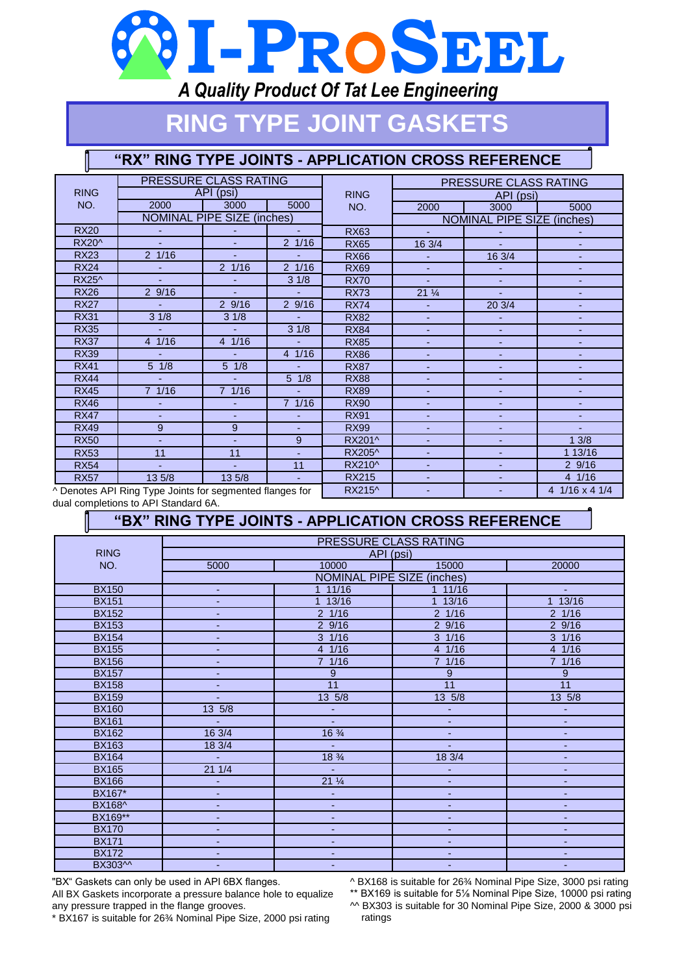# **I-PR SEEL**

## *A Quality Product Of Tat Lee Engineering*

# **RING TYPE JOINT GASKETS**

### **"RX" RING TYPE JOINTS - APPLICATION CROSS REFERENCE**

|                                                          |                  | PRESSURE CLASS RATING             |                  |              | PRESSURE CLASS RATING             |                |         |  |  |
|----------------------------------------------------------|------------------|-----------------------------------|------------------|--------------|-----------------------------------|----------------|---------|--|--|
| <b>RING</b>                                              |                  | API (psi)                         |                  | <b>RING</b>  | API (psi)                         |                |         |  |  |
| NO.                                                      | 2000             | 3000                              | 5000             | NO.          | 2000                              | 3000           | 5000    |  |  |
|                                                          |                  | <b>NOMINAL PIPE SIZE (inches)</b> |                  |              | <b>NOMINAL PIPE SIZE (inches)</b> |                |         |  |  |
| <b>RX20</b>                                              |                  |                                   | $\blacksquare$   | <b>RX63</b>  | ä.                                |                |         |  |  |
| <b>RX20^</b>                                             |                  |                                   | $2 \frac{1}{16}$ | <b>RX65</b>  | 16 3/4                            |                |         |  |  |
| <b>RX23</b>                                              | $2 \frac{1}{16}$ |                                   |                  | <b>RX66</b>  | $\mathbf{r}$                      | 16 3/4         |         |  |  |
| <b>RX24</b>                                              |                  | 2 1/16                            | 2 1/16           | <b>RX69</b>  |                                   |                |         |  |  |
| RX25^                                                    |                  |                                   | 31/8             | <b>RX70</b>  |                                   |                |         |  |  |
| <b>RX26</b>                                              | 29/16            |                                   | a.               | <b>RX73</b>  | $21\frac{1}{4}$                   |                |         |  |  |
| <b>RX27</b>                                              | ш.               | 29/16                             | 29/16            | <b>RX74</b>  |                                   | 20 3/4         |         |  |  |
| <b>RX31</b>                                              | 31/8             | 31/8                              | ä,               | <b>RX82</b>  | ÷.                                | $\blacksquare$ |         |  |  |
| <b>RX35</b>                                              |                  |                                   | 31/8             | <b>RX84</b>  | ٠                                 | $\blacksquare$ |         |  |  |
| <b>RX37</b>                                              | 4 1/16           | 4 1/16                            |                  | <b>RX85</b>  |                                   |                |         |  |  |
| <b>RX39</b>                                              |                  |                                   | 4 1/16           | <b>RX86</b>  | ÷.                                |                |         |  |  |
| <b>RX41</b>                                              | $5 \frac{1}{8}$  | $5 \frac{1}{8}$                   | a.               | <b>RX87</b>  |                                   |                |         |  |  |
| <b>RX44</b>                                              | a.               | $\sim$                            | $5 \frac{1}{8}$  | <b>RX88</b>  |                                   |                |         |  |  |
| <b>RX45</b>                                              | $7 \frac{1}{16}$ | 71/16                             | ä,               | <b>RX89</b>  | ٠                                 | $\sim$         | ٠       |  |  |
| <b>RX46</b>                                              |                  |                                   | 7 1/16           | <b>RX90</b>  |                                   |                |         |  |  |
| <b>RX47</b>                                              |                  |                                   |                  | <b>RX91</b>  |                                   |                |         |  |  |
| <b>RX49</b>                                              | 9                | 9                                 |                  | <b>RX99</b>  |                                   |                |         |  |  |
| <b>RX50</b>                                              |                  |                                   | 9                | RX201^       |                                   |                | 13/8    |  |  |
| <b>RX53</b>                                              | 11               | 11                                |                  | RX205^       | $\blacksquare$                    | $\blacksquare$ | 1 13/16 |  |  |
| <b>RX54</b>                                              |                  |                                   | 11               | RX210^       |                                   |                | 29/16   |  |  |
| <b>RX57</b>                                              | 13 5/8           | 13 5/8                            | $\blacksquare$   | <b>RX215</b> |                                   |                | 4 1/16  |  |  |
| ^ Denotes API Ring Type Joints for segmented flanges for |                  |                                   | RX215^           |              |                                   | 4 1/16 x 4 1/4 |         |  |  |

dual completions to API Standard 6A.

## **"BX" RING TYPE JOINTS - APPLICATION CROSS REFERENCE**

|               | <b>PRESSURE CLASS RATING</b>      |                  |                         |                         |  |  |  |  |
|---------------|-----------------------------------|------------------|-------------------------|-------------------------|--|--|--|--|
| <b>RING</b>   | API (psi)                         |                  |                         |                         |  |  |  |  |
| NO.           | 5000                              | 10000            | 15000                   | 20000                   |  |  |  |  |
|               | <b>NOMINAL PIPE SIZE (inches)</b> |                  |                         |                         |  |  |  |  |
| <b>BX150</b>  | ٠                                 | 11/16            | 11/16                   | ÷.                      |  |  |  |  |
| <b>BX151</b>  | $\blacksquare$                    | 1 13/16          | 13/16<br>$\overline{1}$ | 13/16<br>$\overline{1}$ |  |  |  |  |
| <b>BX152</b>  | $\blacksquare$                    | $2 \frac{1}{16}$ | $2 \frac{1}{16}$        | 2 1/16                  |  |  |  |  |
| <b>BX153</b>  | ÷                                 | 29/16            | $2\overline{9/16}$      | 29/16                   |  |  |  |  |
| <b>BX154</b>  |                                   | $3 \frac{1}{16}$ | $3 \frac{1}{16}$        | $3 \frac{1}{16}$        |  |  |  |  |
| <b>BX155</b>  | $\blacksquare$                    | 4 1/16           | 41/16                   | 4 1/16                  |  |  |  |  |
| <b>BX156</b>  | ÷                                 | 7 1/16           | 7 1/16                  | 7 1/16                  |  |  |  |  |
| <b>BX157</b>  |                                   | 9                | 9                       | 9                       |  |  |  |  |
| <b>BX158</b>  |                                   | 11               | 11                      | 11                      |  |  |  |  |
| <b>BX159</b>  |                                   | $13 \frac{5}{8}$ | $13 \frac{5}{8}$        | 13 5/8                  |  |  |  |  |
| <b>BX160</b>  | $13 \frac{5}{8}$                  |                  | ٠                       | $\blacksquare$          |  |  |  |  |
| <b>BX161</b>  |                                   | ٠                | ٠                       | ٠                       |  |  |  |  |
| <b>BX162</b>  | 16 3/4                            | $16\frac{3}{4}$  | ٠                       | ٠                       |  |  |  |  |
| <b>BX163</b>  | 183/4                             | ÷,               | ٠                       | ٠                       |  |  |  |  |
| <b>BX164</b>  | Ξ                                 | $18\frac{3}{4}$  | 18 3/4                  | ٠                       |  |  |  |  |
| <b>BX165</b>  | 211/4                             | L,               |                         | $\blacksquare$          |  |  |  |  |
| <b>BX166</b>  | $\overline{\phantom{a}}$          | $21\frac{1}{4}$  | ٠                       | ٠                       |  |  |  |  |
| <b>BX167*</b> | ٠                                 | ٠                | ٠                       | ٠                       |  |  |  |  |
| BX168^        | ٠                                 | ٠                | ٠                       | ٠                       |  |  |  |  |
| BX169**       | $\blacksquare$                    | ٠                | ٠                       | ٠                       |  |  |  |  |
| <b>BX170</b>  |                                   | ٠                | ٠                       | ٠                       |  |  |  |  |
| <b>BX171</b>  | ٠                                 | ٠                | ٠                       | ٠                       |  |  |  |  |
| <b>BX172</b>  | $\blacksquare$                    | ٠                | ٠                       | ÷                       |  |  |  |  |
| BX303^^       |                                   | ä,               | ٠                       | ÷                       |  |  |  |  |

"BX" Gaskets can only be used in API 6BX flanges.

All BX Gaskets incorporate a pressure balance hole to equalize any pressure trapped in the flange grooves.

\* BX167 is suitable for 26¾ Nominal Pipe Size, 2000 psi rating

^ BX168 is suitable for 26¾ Nominal Pipe Size, 3000 psi rating \*\* BX169 is suitable for 5⅛ Nominal Pipe Size, 10000 psi rating ^^ BX303 is suitable for 30 Nominal Pipe Size, 2000 & 3000 psi ratings